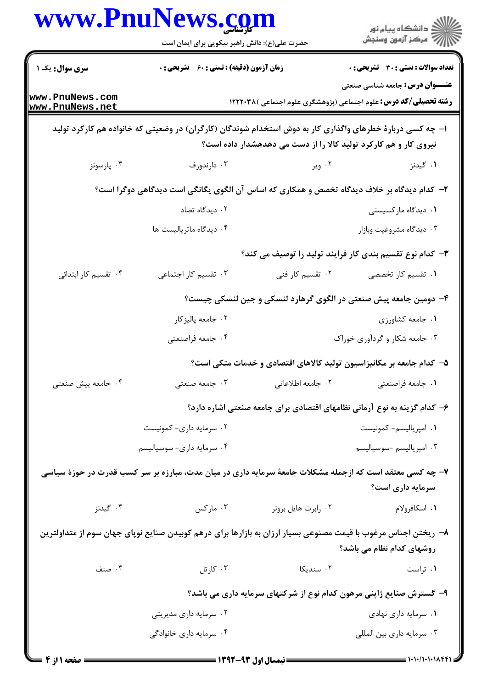|                                                                                                                                                                                | www.PnulNews.com<br>حضرت علی(ع): دانش راهبر نیکویی برای ایمان است                                         |                     | ڪ دانشڪاه پيام نور<br>ر∕ آزمون وسنڊش                                                                              |  |  |
|--------------------------------------------------------------------------------------------------------------------------------------------------------------------------------|-----------------------------------------------------------------------------------------------------------|---------------------|-------------------------------------------------------------------------------------------------------------------|--|--|
| <b>سری سوال :</b> یک ۱                                                                                                                                                         | <b>زمان آزمون (دقیقه) : تستی : 60 ٪ تشریحی : 0</b>                                                        |                     | تعداد سوالات : تستى : 30 ٪ تشريحي : 0                                                                             |  |  |
| www.PnuNews.com<br>www.PnuNews.net                                                                                                                                             |                                                                                                           |                     | <b>عنـــوان درس:</b> جامعه شناسی صنعتی<br><b>رشته تحصیلی/کد درس:</b> علوم اجتماعی (پژوهشگری علوم اجتماعی )۱۲۲۲۰۳۸ |  |  |
| ۱– چه کسی دربارهٔ خطرهای واگذاری کار به دوش استخدام شوندگان (کارگران) در وضعیتی که خانواده هم کارکرد تولید<br>نیروی کار و هم کارکرد تولید کالا را از دست می دهدهشدار داده است؟ |                                                                                                           |                     |                                                                                                                   |  |  |
| ۰۴ پارسونز                                                                                                                                                                     | ۰۳ دارندورف                                                                                               | ۰۲ ویر              | ۰۱ گیدنز                                                                                                          |  |  |
|                                                                                                                                                                                | ۲- کدام دیدگاه بر خلاف دیدگاه تخصص و همکاری که اساس آن الگوی یگانگی است دیدگاهی دوگرا است؟                |                     |                                                                                                                   |  |  |
|                                                                                                                                                                                | ۰۲ دیدگاه تضاد                                                                                            |                     | ۰۱ دیدگاه مارکسیستی                                                                                               |  |  |
|                                                                                                                                                                                | ۰۴ دیدگاه ماتریالیست ها                                                                                   |                     | ۰۳ دیدگاه مشروعیت وبازار                                                                                          |  |  |
| ۳- کدام نوع تقسیم بندی کار فرایند تولید را توصیف می کند؟                                                                                                                       |                                                                                                           |                     |                                                                                                                   |  |  |
| ۰۴ تقسیم کار ابتدائی                                                                                                                                                           | ۰۳ تقسیم کار اجتماعی                                                                                      | ۰۲ تقسیم کار فنی    | ۰۱ تقسیم کار تخصصی                                                                                                |  |  |
|                                                                                                                                                                                | ۴– دومین جامعه پیش صنعتی در الگوی گرهارد لنسکی و جین لنسکی چیست؟                                          |                     |                                                                                                                   |  |  |
|                                                                                                                                                                                | ۰۲ جامعه پاليزكار                                                                                         |                     | ۰۱ جامعه کشاورزی                                                                                                  |  |  |
|                                                                                                                                                                                | ۰۴ جامعه فراصنعتي                                                                                         |                     | ۰۳ جامعه شکار و گردآوری خوراک                                                                                     |  |  |
|                                                                                                                                                                                |                                                                                                           |                     | ۵– کدام جامعه بر مکانیزاسیون تولید کالاهای اقتصادی و خدمات متکی است؟                                              |  |  |
| ۰۴ جامعه پیش صنعتی                                                                                                                                                             | ۰۳ جامعه صنعتی                                                                                            | ٢. جامعه اطلاعاتي   | ٠١. جامعه فراصنعتي                                                                                                |  |  |
|                                                                                                                                                                                |                                                                                                           |                     | ۶– کدام گزینه به نوع آرمانی نظامهای اقتصادی برای جامعه صنعتی اشاره دارد؟                                          |  |  |
|                                                                                                                                                                                | ۰۲ سرمایه داری- کمونیست                                                                                   |                     | ٠١ امپرياليسم- كمونيست                                                                                            |  |  |
|                                                                                                                                                                                | ۰۴ سرمايه دارى- سوسياليسم                                                                                 |                     | ۰۳ امپریالیسم -سوسیالیسم                                                                                          |  |  |
|                                                                                                                                                                                | ۷– چه کسی معتقد است که ازجمله مشکلات جامعهٔ سرمایه داری در میان مدت، مبارزه بر سر کسب قدرت در حوزهٔ سیاسی |                     | سرمایه داری است؟                                                                                                  |  |  |
| ۰۴ گیدنز                                                                                                                                                                       | ۰۳ مارکس                                                                                                  | ۰۲ رابرت هایل برونر | ۰۱ اسکافرولام                                                                                                     |  |  |
| ۸− ریختن اجناس مرغوب با قیمت مصنوعی بسیار ارزان به بازارها برای درهم کوبیدن صنایع نوپای جهان سوم از متداولترین<br>روشهای کدام نظام می باشد؟                                    |                                                                                                           |                     |                                                                                                                   |  |  |
| ۰۴ صنف                                                                                                                                                                         | ۰۳ کارتل                                                                                                  | ۰۲ سندیکا           | ۰۱ تراست                                                                                                          |  |  |
|                                                                                                                                                                                |                                                                                                           |                     | ۹- گسترش صنایع ژاپنی مرهون کدام نوع از شرکتهای سرمایه داری می باشد؟                                               |  |  |
|                                                                                                                                                                                | ۰۲ سرمایه داری مدیریتی                                                                                    |                     | ۰۱ سرمایه داری نهادی                                                                                              |  |  |
|                                                                                                                                                                                | ۰۴ سرمایه داری خانوادگی                                                                                   |                     | ۰۳ سرمايه داري بين المللي                                                                                         |  |  |
| <b>= صفحه ۱ از ۴</b>                                                                                                                                                           |                                                                                                           |                     |                                                                                                                   |  |  |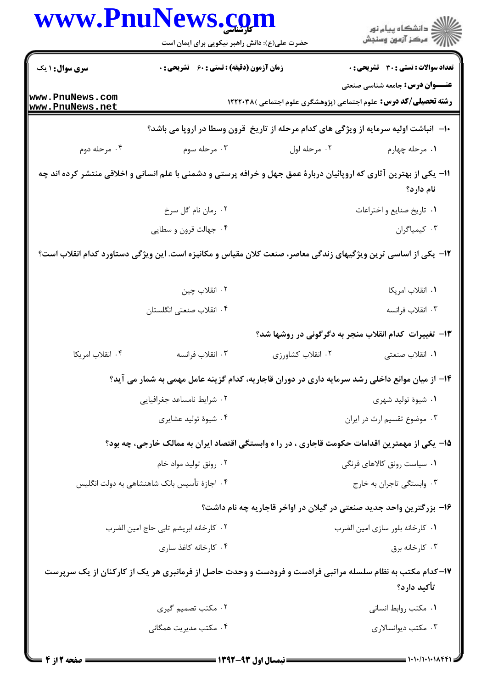| <b>سری سوال : ۱ یک</b>                                                                                              | زمان آزمون (دقیقه) : تستی : 60 ٪ تشریحی : 0  |                             | <b>تعداد سوالات : تستي : 30 ٪ تشريحي : 0</b>                                                                            |
|---------------------------------------------------------------------------------------------------------------------|----------------------------------------------|-----------------------------|-------------------------------------------------------------------------------------------------------------------------|
|                                                                                                                     |                                              |                             | <b>عنـــوان درس:</b> جامعه شناسی صنعتی                                                                                  |
| www.PnuNews.com<br>www.PnuNews.net                                                                                  |                                              |                             | <b>رشته تحصیلی/کد درس:</b> علوم اجتماعی (پژوهشگری علوم اجتماعی )۱۲۲۲۰۳۸                                                 |
|                                                                                                                     |                                              |                             | ∙۱- آنباشت اولیه سرمایه از ویژگی های کدام مرحله از تاریخ قرون وسطا در اروپا می باشد؟                                    |
| ۰۴ مرحله دوم                                                                                                        | ۰۳ مرحله سوم                                 | ۰۲ مرحله لول                | ۰۱ مرحله چهارم                                                                                                          |
| 11- یکی از بهترین آثاری که اروپائیان دربارهٔ عمق جهل و خرافه پرستی و دشمنی با علم انسانی و اخلاقی منتشر کرده اند چه |                                              |                             | نام دارد؟                                                                                                               |
|                                                                                                                     | ۰۲ رمان نام گل سرخ                           |                             | ٠١ تاريخ صنايع و اختراعات                                                                                               |
|                                                                                                                     | ۰۴ جهالت قرون و سطایی                        |                             | ۰۳ کیمیاگران                                                                                                            |
| ۱۲– یکی از اساسی ترین ویژگیهای زندگی معاصر، صنعت کلان مقیاس و مکانیزه است. این ویژگی دستاورد کدام انقلاب است؟       |                                              |                             |                                                                                                                         |
|                                                                                                                     | ۰۲ انقلاب چين                                |                             | ٠١ انقلاب امريكا                                                                                                        |
|                                                                                                                     | ۰۴ انقلاب صنعتی انگلستان                     |                             | ۰۳ انقلاب فرانسه                                                                                                        |
|                                                                                                                     |                                              |                             | ۱۳- تغییرات کدام انقلاب منجر به دگرگونی در روشها شد؟                                                                    |
| ۰۴ انقلاب امريكا                                                                                                    | ۰۳ انقلاب فرانسه                             | ۰۲ انقلاب کشاورزی           | ۰۱ انقلاب صنعتی                                                                                                         |
|                                                                                                                     |                                              |                             | ۱۴– از میان موانع داخلی رشد سرمایه داری در دوران قاجاریه، کدام گزینه عامل مهمی به شمار می آید؟                          |
| ۰۲ شرایط نامساعد جغرافیایی                                                                                          |                                              |                             | ۰۱ شیوهٔ تولید شهری                                                                                                     |
|                                                                                                                     | ۰۴ شیوهٔ تولید عشایری                        |                             | ۰۳ موضوع تقسیم ارث در ایران                                                                                             |
|                                                                                                                     |                                              |                             | ۱۵– یکی از مهمترین اقدامات حکومت قاجاری ، در را ه وابستگی اقتصاد ایران به ممالک خارجی، چه بود؟                          |
| ۰۲ رونق تولید مواد خام                                                                                              |                                              | ۰۱ سیاست رونق کالاهای فرنگی |                                                                                                                         |
|                                                                                                                     | ۰۴ اجازهٔ تأسیس بانک شاهنشاهی به دولت انگلیس |                             | ۰۳ وابستگی تاجران به خارج                                                                                               |
|                                                                                                                     |                                              |                             | ۱۶– بزرگترین واحد جدید صنعتی در گیلان در اواخر قاجاریه چه نام داشت؟                                                     |
|                                                                                                                     | ٠٢ كارخانه ابريشم تابي حاج امين الضرب        |                             | ٠١ كارخانه بلور سازى امين الضرب                                                                                         |
|                                                                                                                     | ۰۴ کارخانه کاغذ ساری                         |                             | ۰۳ کارخانه برق                                                                                                          |
|                                                                                                                     |                                              |                             | ۱۷- کدام مکتب به نظام سلسله مراتبی فرادست و فرودست و وحدت حاصل از فرمانبری هر یک از کارکنان از یک سرپرست<br>تأكيد دارد؟ |
|                                                                                                                     | ۰۲ مکتب تصمیم گیری                           |                             | ٠١ مكتب روابط انساني                                                                                                    |
|                                                                                                                     | ۰۴ مکتب مدیریت همگانی                        |                             | ۰۳ مکتب دیوانسالاری                                                                                                     |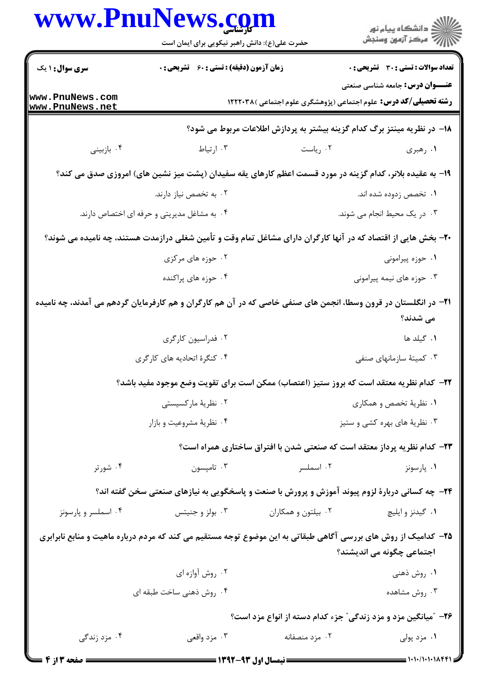|                                                                                                                                             | www.PnuNews.com<br>حضرت علی(ع): دانش راهبر نیکویی برای ایمان است                                              |                                                                          | ڪ دانشڪاه پيام نور<br>∕ مرڪز آزمون وسنڊش                                                                                                                                                                                                                                                                                                                                                                              |  |  |  |
|---------------------------------------------------------------------------------------------------------------------------------------------|---------------------------------------------------------------------------------------------------------------|--------------------------------------------------------------------------|-----------------------------------------------------------------------------------------------------------------------------------------------------------------------------------------------------------------------------------------------------------------------------------------------------------------------------------------------------------------------------------------------------------------------|--|--|--|
| <b>سری سوال : ۱ یک</b>                                                                                                                      | <b>زمان آزمون (دقیقه) : تستی : 60 ٪ تشریحی : 0</b>                                                            |                                                                          | <b>تعداد سوالات : تستی : 30 - تشریحی : 0</b>                                                                                                                                                                                                                                                                                                                                                                          |  |  |  |
| www.PnuNews.com<br>www.PnuNews.net                                                                                                          |                                                                                                               | <b>رشته تحصیلی/کد درس:</b> علوم اجتماعی (پژوهشگری علوم اجتماعی )۱۲۲۲۰۳۸  | <b>عنـــوان درس:</b> جامعه شناسی صنعتی                                                                                                                                                                                                                                                                                                                                                                                |  |  |  |
|                                                                                                                                             | ۱۸− در نظریه مینتز برگ کدام گزینه بیشتر به پردازش اطلاعات مربوط می شود؟                                       |                                                                          |                                                                                                                                                                                                                                                                                                                                                                                                                       |  |  |  |
| ۰۴ بازبيني                                                                                                                                  | ۰۳ ارتياط                                                                                                     | ۰۲ رياست                                                                 | ۰۱ رهبری                                                                                                                                                                                                                                                                                                                                                                                                              |  |  |  |
|                                                                                                                                             | ۱۹- به عقیده بلانر، کدام گزینه در مورد قسمت اعظم کارهای یقه سفیدان (پشت میز نشین های) امروزی صدق می کند؟      |                                                                          |                                                                                                                                                                                                                                                                                                                                                                                                                       |  |  |  |
|                                                                                                                                             | ۰۲ به تخصص نیاز دارند.                                                                                        |                                                                          | ۰۱ تخصص زدوده شده اند.                                                                                                                                                                                                                                                                                                                                                                                                |  |  |  |
|                                                                                                                                             | ۰۴ به مشاغل مدیریتی و حرفه ای اختصاص دارند.                                                                   |                                                                          | ۰۳ در یک محیط انجام می شوند.                                                                                                                                                                                                                                                                                                                                                                                          |  |  |  |
|                                                                                                                                             | +۲- بخش هایی از اقتصاد که در آنها کارگران دارای مشاغل تمام وقت و تأمین شغلی درازمدت هستند، چه نامیده می شوند؟ |                                                                          |                                                                                                                                                                                                                                                                                                                                                                                                                       |  |  |  |
|                                                                                                                                             | ۰۲ حوزه های مرکزی                                                                                             |                                                                          | ۰۱ حوزه پیرامونی                                                                                                                                                                                                                                                                                                                                                                                                      |  |  |  |
|                                                                                                                                             | ۰۴ حوزه های پراکنده                                                                                           |                                                                          | ۰۳ حوزه های نیمه پیرامونی                                                                                                                                                                                                                                                                                                                                                                                             |  |  |  |
| ۲۱– در انگلستان در قرون وسطا، انجمن های صنفی خاصی که در آن هم کارگران و هم کارفرمایان گردهم می آمدند، چه نامیده<br>می شدند؟                 |                                                                                                               |                                                                          |                                                                                                                                                                                                                                                                                                                                                                                                                       |  |  |  |
|                                                                                                                                             | ۰۲ فدراسیون کارگری                                                                                            |                                                                          | ۰۱ گیلد ها                                                                                                                                                                                                                                                                                                                                                                                                            |  |  |  |
|                                                                                                                                             | ۰۴ کنگرهٔ اتحادیه های کارگری                                                                                  |                                                                          | ۰۳ کمیتهٔ سازمانهای صنفی                                                                                                                                                                                                                                                                                                                                                                                              |  |  |  |
|                                                                                                                                             | ٢٢- كدام نظريه معتقد است كه بروز ستيز (اعتصاب) ممكن است براي تقويت وضع موجود مفيد باشد؟                       |                                                                          |                                                                                                                                                                                                                                                                                                                                                                                                                       |  |  |  |
|                                                                                                                                             | ۰۲ نظریهٔ مارکسیستی                                                                                           |                                                                          | ۰۱ نظریهٔ تخصص و همکاری                                                                                                                                                                                                                                                                                                                                                                                               |  |  |  |
|                                                                                                                                             | ۰۴ نظریهٔ مشروعیت و بازار                                                                                     |                                                                          | ۰۳ نظریهٔ های بهره کشی و ستیز                                                                                                                                                                                                                                                                                                                                                                                         |  |  |  |
|                                                                                                                                             |                                                                                                               | ۲۳- کدام نظریه پرداز معتقد است که صنعتی شدن با افتراق ساختاری همراه است؟ |                                                                                                                                                                                                                                                                                                                                                                                                                       |  |  |  |
| ۰۴ شورتر                                                                                                                                    | ۰۳ تامپسون                                                                                                    | ۰۲ اسملسر                                                                | ۰۱ پارسونز                                                                                                                                                                                                                                                                                                                                                                                                            |  |  |  |
| ۲۴- چه کسانی دربارهٔ لزوم پیوند آموزش و پرورش با صنعت و پاسخگویی به نیازهای صنعتی سخن گفته اند؟                                             |                                                                                                               |                                                                          |                                                                                                                                                                                                                                                                                                                                                                                                                       |  |  |  |
| ۰۴ اسملسر و پارسونز                                                                                                                         | ۰۳ بولز و جنيتس                                                                                               | ۰۲ بیلتون و همکاران                                                      | ۰۱ گیدنز و ایلیچ                                                                                                                                                                                                                                                                                                                                                                                                      |  |  |  |
| ۲۵– کدامیک از روش های بررسی آگاهی طبقاتی به این موضوع توجه مستقیم می کند که مردم درباره ماهیت و منابع نابرابری<br>اجتماعي چگونه مي انديشند؟ |                                                                                                               |                                                                          |                                                                                                                                                                                                                                                                                                                                                                                                                       |  |  |  |
|                                                                                                                                             | ۰۲ روش آوازه ای                                                                                               |                                                                          | ۰۱ روش ذهنی                                                                                                                                                                                                                                                                                                                                                                                                           |  |  |  |
|                                                                                                                                             | ۰۴ روش ذهني ساخت طبقه اي                                                                                      |                                                                          | ۰۳ روش مشاهده                                                                                                                                                                                                                                                                                                                                                                                                         |  |  |  |
|                                                                                                                                             | ۲۶- ″میانگین مزد و مزد زندگی″ جزء کدام دسته از انواع مزد است؟                                                 |                                                                          |                                                                                                                                                                                                                                                                                                                                                                                                                       |  |  |  |
| ۰۴ مزد زندگی                                                                                                                                | ۰۳ مزد واقعی                                                                                                  | ۰۲ مزد منصفانه                                                           | ۰۱ مزد پولی                                                                                                                                                                                                                                                                                                                                                                                                           |  |  |  |
| <b>= 4 صفحه 2 از 4 =</b>                                                                                                                    |                                                                                                               |                                                                          | $\frac{1}{1-\frac{1}{1-\frac{1}{1-\frac{1}{1-\frac{1}{1-\frac{1}{1-\frac{1}{1-\frac{1}{1-\frac{1}{1-\frac{1}{1-\frac{1}{1-\frac{1}{1-\frac{1}{1-\frac{1}{1-\frac{1}{1-\frac{1}{1-\frac{1}{1-\frac{1}{1-\frac{1}{1-\frac{1}{1-\frac{1}{1-\frac{1}{1-\frac{1}{1-\frac{1}{1-\frac{1}{1-\frac{1}{1-\frac{1}{1-\frac{1}{1-\frac{1}{1-\frac{1}{1-\frac{1}{1-\frac{1}{1-\frac{1}{1-\frac{1}{1-\frac{1}{1-\frac{1}{1-\frac{1$ |  |  |  |